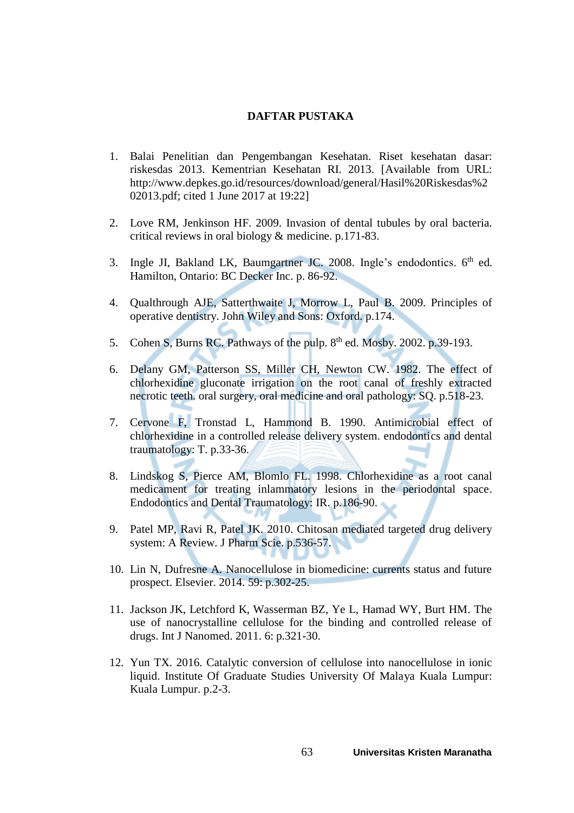## **DAFTAR PUSTAKA**

- 1. Balai Penelitian dan Pengembangan Kesehatan. Riset kesehatan dasar: riskesdas 2013. Kementrian Kesehatan RI. 2013. [Available from URL: http://www.depkes.go.id/resources/download/general/Hasil%20Riskesdas%2 02013.pdf; cited 1 June 2017 at 19:22]
- 2. Love RM, Jenkinson HF. 2009. Invasion of dental tubules by oral bacteria. critical reviews in oral biology & medicine. p.171-83.
- 3. Ingle JI, Bakland LK, Baumgartner JC. 2008. Ingle's endodontics. 6<sup>th</sup> ed. Hamilton, Ontario: BC Decker Inc. p. 86-92.
- 4. Qualthrough AJE, Satterthwaite J, Morrow L, Paul B. 2009. Principles of operative dentistry. John Wiley and Sons: Oxford. p.174.
- 5. Cohen S, Burns RC. Pathways of the pulp. 8<sup>th</sup> ed. Mosby. 2002. p.39-193.
- 6. Delany GM, Patterson SS, Miller CH, Newton CW. 1982. The effect of chlorhexidine gluconate irrigation on the root canal of freshly extracted necrotic teeth. oral surgery, oral medicine and oral pathology: SQ. p.518-23.
- 7. Cervone F, Tronstad L, Hammond B. 1990. Antimicrobial effect of chlorhexidine in a controlled release delivery system. endodontics and dental traumatology: T. p.33-36.
- 8. Lindskog S, Pierce AM, Blomlo FL. 1998. Chlorhexidine as a root canal medicament for treating inlammatory lesions in the periodontal space. Endodontics and Dental Traumatology: IR. p.186-90.
- 9. Patel MP, Ravi R, Patel JK. 2010. Chitosan mediated targeted drug delivery system: A Review. J Pharm Scie. p.536-57.
- 10. Lin N, Dufresne A. Nanocellulose in biomedicine: currents status and future prospect. Elsevier. 2014. 59: p.302-25.
- 11. Jackson JK, Letchford K, Wasserman BZ, Ye L, Hamad WY, Burt HM. The use of nanocrystalline cellulose for the binding and controlled release of drugs. Int J Nanomed. 2011. 6: p.321-30.
- 12. Yun TX. 2016. Catalytic conversion of cellulose into nanocellulose in ionic liquid. Institute Of Graduate Studies University Of Malaya Kuala Lumpur: Kuala Lumpur. p.2-3.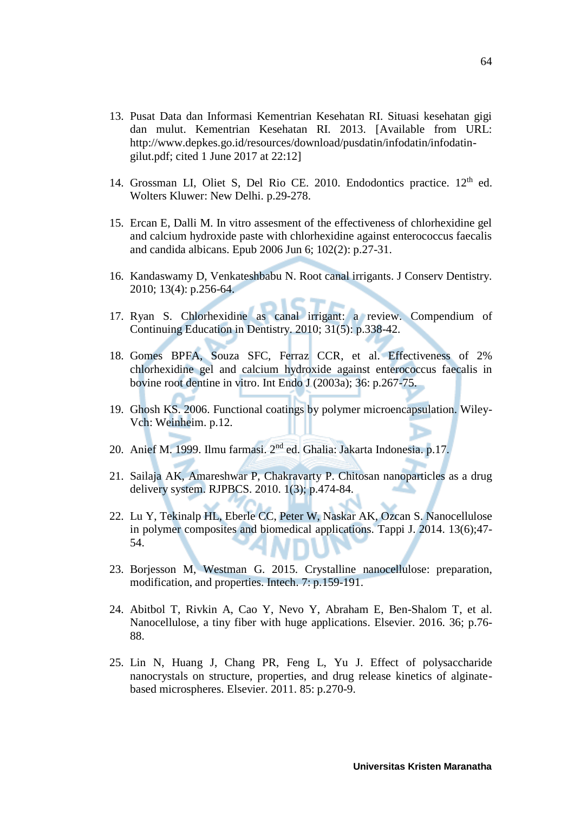- 13. Pusat Data dan Informasi Kementrian Kesehatan RI. Situasi kesehatan gigi dan mulut. Kementrian Kesehatan RI. 2013. [Available from URL: http://www.depkes.go.id/resources/download/pusdatin/infodatin/infodatingilut.pdf; cited 1 June 2017 at 22:12]
- 14. Grossman LI, Oliet S, Del Rio CE. 2010. Endodontics practice. 12<sup>th</sup> ed. Wolters Kluwer: New Delhi. p.29-278.
- 15. Ercan E, Dalli M. In vitro assesment of the effectiveness of chlorhexidine gel and calcium hydroxide paste with chlorhexidine against enterococcus faecalis and candida albicans. Epub 2006 Jun 6; 102(2): p.27-31.
- 16. Kandaswamy D, Venkateshbabu N. Root canal irrigants. J Conserv Dentistry. 2010; 13(4): p.256-64.
- 17. Ryan S. Chlorhexidine as canal irrigant: a review. Compendium of Continuing Education in Dentistry. 2010; 31(5): p.338-42.
- 18. Gomes BPFA, Souza SFC, Ferraz CCR, et al. Effectiveness of 2% chlorhexidine gel and calcium hydroxide against enterococcus faecalis in bovine root dentine in vitro. Int Endo J (2003a); 36: p.267-75.
- 19. Ghosh KS. 2006. Functional coatings by polymer microencapsulation. Wiley-Vch: Weinheim. p.12.
- 20. Anief M. 1999. Ilmu farmasi. 2nd ed. Ghalia: Jakarta Indonesia. p.17.
- 21. Sailaja AK, Amareshwar P, Chakravarty P. Chitosan nanoparticles as a drug delivery system. RJPBCS. 2010. 1(3); p.474-84.
- 22. Lu Y, Tekinalp HL, Eberle CC, Peter W, Naskar AK, Ozcan S. Nanocellulose in polymer composites and biomedical applications. Tappi J. 2014. 13(6);47- 54.
- 23. Borjesson M, Westman G. 2015. Crystalline nanocellulose: preparation, modification, and properties. Intech. 7: p.159-191.
- 24. Abitbol T, Rivkin A, Cao Y, Nevo Y, Abraham E, Ben-Shalom T, et al. Nanocellulose, a tiny fiber with huge applications. Elsevier. 2016. 36; p.76- 88.
- 25. Lin N, Huang J, Chang PR, Feng L, Yu J. Effect of polysaccharide nanocrystals on structure, properties, and drug release kinetics of alginatebased microspheres. Elsevier. 2011. 85: p.270-9.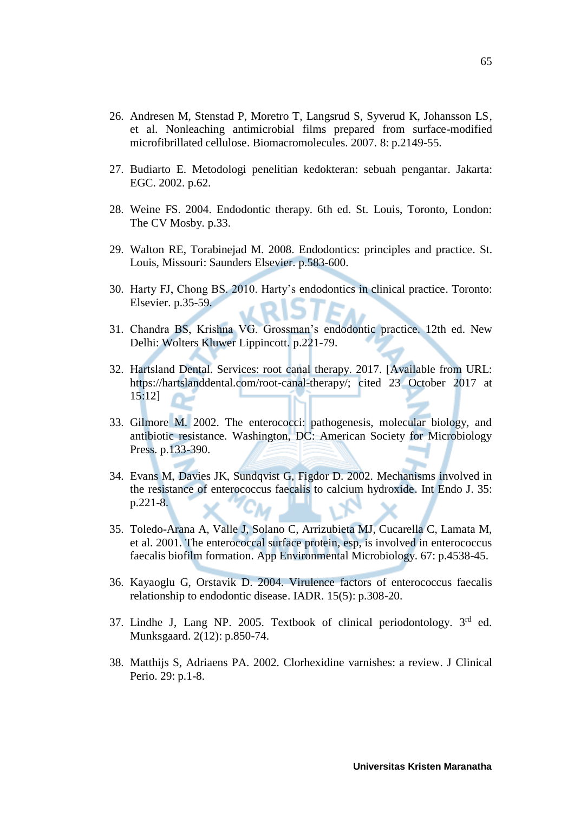- 26. Andresen M, Stenstad P, Moretro T, Langsrud S, Syverud K, Johansson LS, et al. Nonleaching antimicrobial films prepared from surface-modified microfibrillated cellulose. Biomacromolecules. 2007. 8: p.2149-55.
- 27. Budiarto E. Metodologi penelitian kedokteran: sebuah pengantar. Jakarta: EGC. 2002. p.62.
- 28. Weine FS. 2004. Endodontic therapy. 6th ed. St. Louis, Toronto, London: The CV Mosby. p.33.
- 29. Walton RE, Torabinejad M. 2008. Endodontics: principles and practice. St. Louis, Missouri: Saunders Elsevier. p.583-600.
- 30. Harty FJ, Chong BS. 2010. Harty's endodontics in clinical practice. Toronto: Elsevier. p.35-59.
- 31. Chandra BS, Krishna VG. Grossman's endodontic practice. 12th ed. New Delhi: Wolters Kluwer Lippincott. p.221-79.
- 32. Hartsland Dental. Services: root canal therapy. 2017. [Available from URL: https://hartslanddental.com/root-canal-therapy/; cited 23 October 2017 at 15:12]
- 33. Gilmore M. 2002. The enterococci: pathogenesis, molecular biology, and antibiotic resistance. Washington, DC: American Society for Microbiology Press. p.133-390.
- 34. Evans M, Davies JK, Sundqvist G, Figdor D. 2002. Mechanisms involved in the resistance of enterococcus faecalis to calcium hydroxide. Int Endo J. 35: p.221-8. 7СM
- 35. Toledo-Arana A, Valle J, Solano C, Arrizubieta MJ, Cucarella C, Lamata M, et al. 2001. The enterococcal surface protein, esp, is involved in enterococcus faecalis biofilm formation. App Environmental Microbiology. 67: p.4538-45.
- 36. Kayaoglu G, Orstavik D. 2004. Virulence factors of enterococcus faecalis relationship to endodontic disease. IADR. 15(5): p.308-20.
- 37. Lindhe J, Lang NP. 2005. Textbook of clinical periodontology. 3rd ed. Munksgaard. 2(12): p.850-74.
- 38. Matthijs S, Adriaens PA. 2002. Clorhexidine varnishes: a review. J Clinical Perio. 29: p.1-8.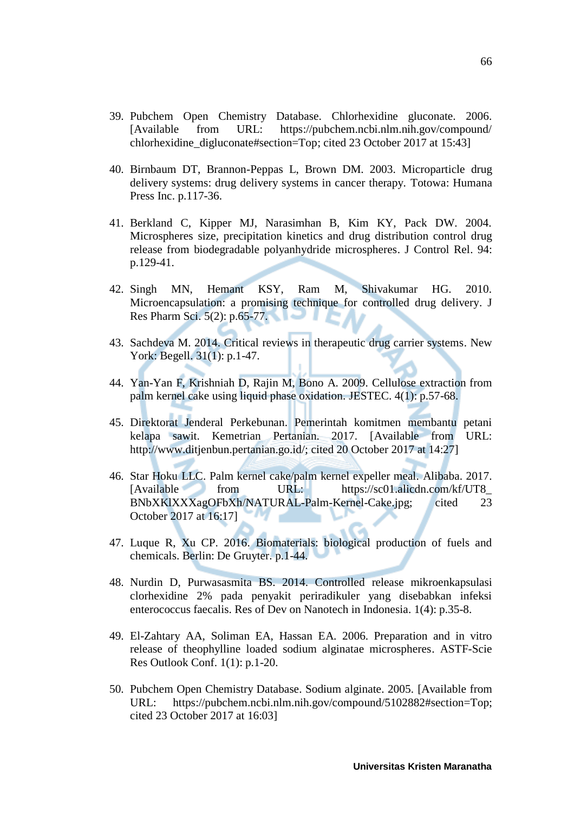- 39. Pubchem Open Chemistry Database. Chlorhexidine gluconate. 2006. [Available from URL: https://pubchem.ncbi.nlm.nih.gov/compound/ chlorhexidine digluconate#section=Top; cited 23 October 2017 at 15:43]
- 40. Birnbaum DT, Brannon-Peppas L, Brown DM. 2003. Microparticle drug delivery systems: drug delivery systems in cancer therapy. Totowa: Humana Press Inc. p.117-36.
- 41. Berkland C, Kipper MJ, Narasimhan B, Kim KY, Pack DW. 2004. Microspheres size, precipitation kinetics and drug distribution control drug release from biodegradable polyanhydride microspheres. J Control Rel. 94: p.129-41.
- 42. Singh MN, Hemant KSY, Ram M, Shivakumar HG. 2010. Microencapsulation: a promising technique for controlled drug delivery. J Res Pharm Sci. 5(2): p.65-77.
- 43. Sachdeva M. 2014. Critical reviews in therapeutic drug carrier systems. New York: Begell. 31(1): p.1-47.
- 44. Yan-Yan F, Krishniah D, Rajin M, Bono A. 2009. Cellulose extraction from palm kernel cake using liquid phase oxidation. JESTEC. 4(1): p.57-68.
- 45. Direktorat Jenderal Perkebunan. Pemerintah komitmen membantu petani kelapa sawit. Kemetrian Pertanian. 2017. [Available from URL: http://www.ditjenbun.pertanian.go.id/; cited 20 October 2017 at 14:27]
- 46. Star Hoku LLC. Palm kernel cake/palm kernel expeller meal. Alibaba. 2017. [Available from URL: https://sc01.alicdn.com/kf/UT8\_ BNbXKlXXXagOFbXh/NATURAL-Palm-Kernel-Cake.jpg; cited 23 October 2017 at 16:17]
- 47. Luque R, Xu CP. 2016. Biomaterials: biological production of fuels and chemicals. Berlin: De Gruyter. p.1-44.
- 48. Nurdin D, Purwasasmita BS. 2014. Controlled release mikroenkapsulasi clorhexidine 2% pada penyakit periradikuler yang disebabkan infeksi enterococcus faecalis. Res of Dev on Nanotech in Indonesia. 1(4): p.35-8.
- 49. El-Zahtary AA, Soliman EA, Hassan EA. 2006. Preparation and in vitro release of theophylline loaded sodium alginatae microspheres. ASTF-Scie Res Outlook Conf. 1(1): p.1-20.
- 50. Pubchem Open Chemistry Database. Sodium alginate. 2005. [Available from URL: https://pubchem.ncbi.nlm.nih.gov/compound/5102882#section=Top; cited 23 October 2017 at 16:03]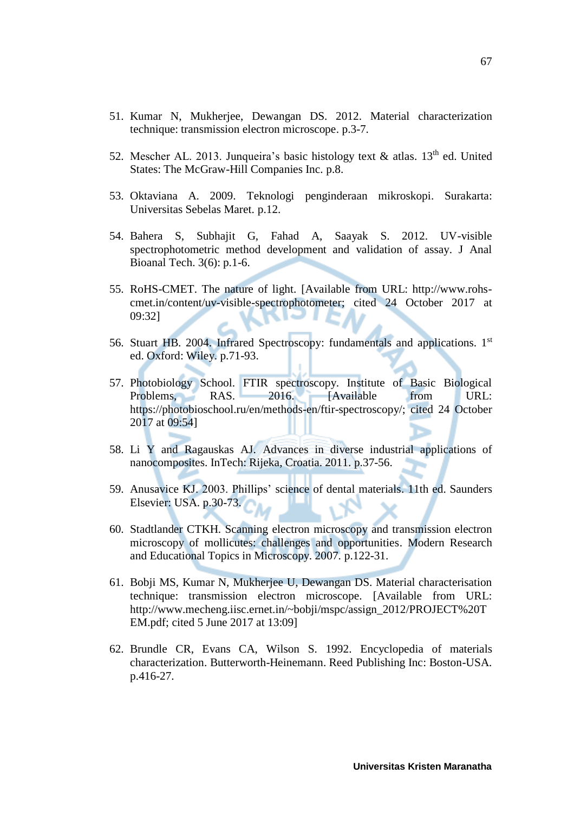- 51. Kumar N, Mukherjee, Dewangan DS. 2012. Material characterization technique: transmission electron microscope. p.3-7.
- 52. Mescher AL. 2013. Junqueira's basic histology text  $\&$  atlas. 13<sup>th</sup> ed. United States: The McGraw-Hill Companies Inc. p.8.
- 53. Oktaviana A. 2009. Teknologi penginderaan mikroskopi. Surakarta: Universitas Sebelas Maret. p.12.
- 54. Bahera S, Subhajit G, Fahad A, Saayak S. 2012. UV-visible spectrophotometric method development and validation of assay. J Anal Bioanal Tech. 3(6): p.1-6.
- 55. RoHS-CMET. The nature of light. [Available from URL: http://www.rohscmet.in/content/uv-visible-spectrophotometer; cited 24 October 2017 at 09:32]
- 56. Stuart HB. 2004. Infrared Spectroscopy: fundamentals and applications. 1st ed. Oxford: Wiley. p.71-93.
- 57. Photobiology School. FTIR spectroscopy. Institute of Basic Biological Problems, RAS. 2016. [Available from URL: https://photobioschool.ru/en/methods-en/ftir-spectroscopy/; cited 24 October 2017 at 09:54]
- 58. Li Y and Ragauskas AJ. Advances in diverse industrial applications of nanocomposites. InTech: Rijeka, Croatia. 2011. p.37-56.
- 59. Anusavice KJ. 2003. Phillips' science of dental materials. 11th ed. Saunders Elsevier: USA. p.30-73.
- 60. Stadtlander CTKH. Scanning electron microscopy and transmission electron microscopy of mollicutes: challenges and opportunities. Modern Research and Educational Topics in Microscopy. 2007. p.122-31.
- 61. Bobji MS, Kumar N, Mukherjee U, Dewangan DS. Material characterisation technique: transmission electron microscope. [Available from URL: http://www.mecheng.iisc.ernet.in/~bobji/mspc/assign\_2012/PROJECT%20T EM.pdf; cited 5 June 2017 at 13:09]
- 62. Brundle CR, Evans CA, Wilson S. 1992. Encyclopedia of materials characterization. Butterworth-Heinemann. Reed Publishing Inc: Boston-USA. p.416-27.